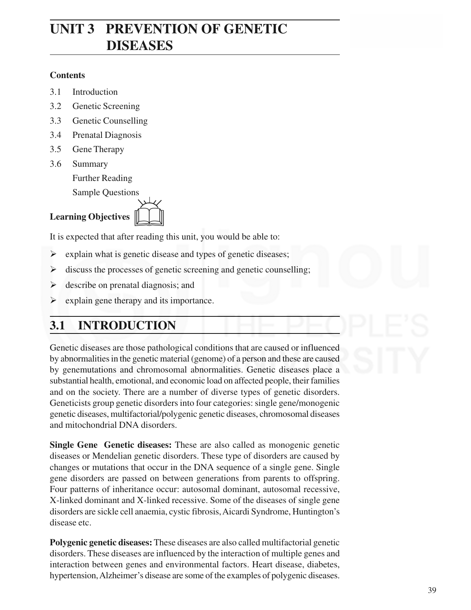## **UNIT 3 PREVENTION OF GENETIC DISEASES**

### **Contents**

- 3.1 Introduction
- 3.2 Genetic Screening
- 3.3 Genetic Counselling
- 3.4 Prenatal Diagnosis
- 3.5 Gene Therapy
- 3.6 Summary

Further Reading

Sample Questions

### **Learning Objectives**



It is expected that after reading this unit, you would be able to:

- $\triangleright$  explain what is genetic disease and types of genetic diseases;
- $\triangleright$  discuss the processes of genetic screening and genetic counselling;
- $\triangleright$  describe on prenatal diagnosis; and
- $\triangleright$  explain gene therapy and its importance.

## **3.1 INTRODUCTION**

Genetic diseases are those pathological conditions that are caused or influenced by abnormalities in the genetic material (genome) of a person and these are caused by genemutations and chromosomal abnormalities. Genetic diseases place a substantial health, emotional, and economic load on affected people, their families and on the society. There are a number of diverse types of genetic disorders. Geneticists group genetic disorders into four categories: single gene/monogenic genetic diseases, multifactorial/polygenic genetic diseases, chromosomal diseases and mitochondrial DNA disorders.

**Single Gene Genetic diseases:** These are also called as monogenic genetic diseases or Mendelian genetic disorders. These type of disorders are caused by changes or mutations that occur in the DNA sequence of a single gene. Single gene disorders are passed on between generations from parents to offspring. Four patterns of inheritance occur: autosomal dominant, autosomal recessive, X-linked dominant and X-linked recessive. Some of the diseases of single gene disorders are sickle cell anaemia, cystic fibrosis, Aicardi Syndrome, Huntington's disease etc.

**Polygenic genetic diseases:** These diseases are also called multifactorial genetic disorders. These diseases are influenced by the interaction of multiple genes and interaction between genes and environmental factors. Heart disease, diabetes, hypertension, Alzheimer's disease are some of the examples of polygenic diseases.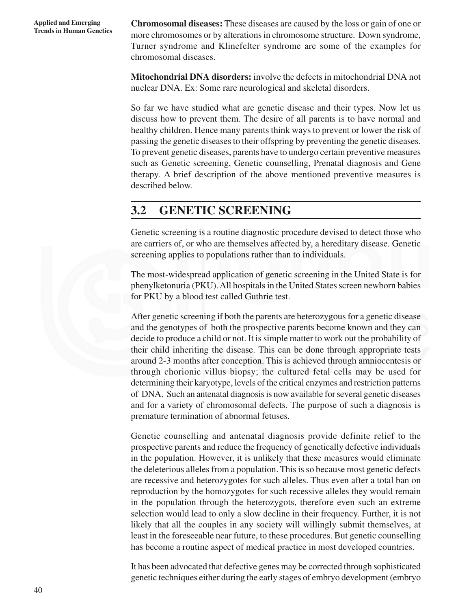**Chromosomal diseases:** These diseases are caused by the loss or gain of one or more chromosomes or by alterations in chromosome structure. Down syndrome, Turner syndrome and Klinefelter syndrome are some of the examples for chromosomal diseases.

**Mitochondrial DNA disorders:** involve the defects in mitochondrial DNA not nuclear DNA. Ex: Some rare neurological and skeletal disorders.

So far we have studied what are genetic disease and their types. Now let us discuss how to prevent them. The desire of all parents is to have normal and healthy children. Hence many parents think ways to prevent or lower the risk of passing the genetic diseases to their offspring by preventing the genetic diseases. To prevent genetic diseases, parents have to undergo certain preventive measures such as Genetic screening, Genetic counselling, Prenatal diagnosis and Gene therapy. A brief description of the above mentioned preventive measures is described below.

### **3.2 GENETIC SCREENING**

Genetic screening is a routine diagnostic procedure devised to detect those who are carriers of, or who are themselves affected by, a hereditary disease. Genetic screening applies to populations rather than to individuals.

The most-widespread application of genetic screening in the United State is for phenylketonuria (PKU). All hospitals in the United States screen newborn babies for PKU by a blood test called Guthrie test.

After genetic screening if both the parents are heterozygous for a genetic disease and the genotypes of both the prospective parents become known and they can decide to produce a child or not. It is simple matter to work out the probability of their child inheriting the disease. This can be done through appropriate tests around 2-3 months after conception. This is achieved through amniocentesis or through chorionic villus biopsy; the cultured fetal cells may be used for determining their karyotype, levels of the critical enzymes and restriction patterns of DNA. Such an antenatal diagnosis is now available for several genetic diseases and for a variety of chromosomal defects. The purpose of such a diagnosis is premature termination of abnormal fetuses.

Genetic counselling and antenatal diagnosis provide definite relief to the prospective parents and reduce the frequency of genetically defective individuals in the population. However, it is unlikely that these measures would eliminate the deleterious alleles from a population. This is so because most genetic defects are recessive and heterozygotes for such alleles. Thus even after a total ban on reproduction by the homozygotes for such recessive alleles they would remain in the population through the heterozygots, therefore even such an extreme selection would lead to only a slow decline in their frequency. Further, it is not likely that all the couples in any society will willingly submit themselves, at least in the foreseeable near future, to these procedures. But genetic counselling has become a routine aspect of medical practice in most developed countries.

It has been advocated that defective genes may be corrected through sophisticated genetic techniques either during the early stages of embryo development (embryo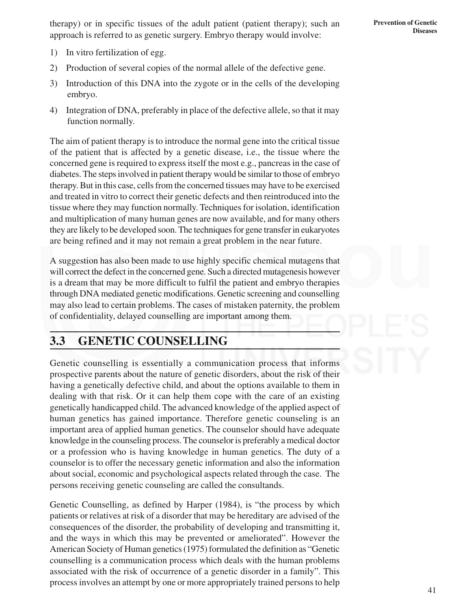therapy) or in specific tissues of the adult patient (patient therapy); such an approach is referred to as genetic surgery. Embryo therapy would involve:

- 1) In vitro fertilization of egg.
- 2) Production of several copies of the normal allele of the defective gene.
- 3) Introduction of this DNA into the zygote or in the cells of the developing embryo.
- 4) Integration of DNA, preferably in place of the defective allele, so that it may function normally.

The aim of patient therapy is to introduce the normal gene into the critical tissue of the patient that is affected by a genetic disease, i.e., the tissue where the concerned gene is required to express itself the most e.g., pancreas in the case of diabetes. The steps involved in patient therapy would be similar to those of embryo therapy. But in this case, cells from the concerned tissues may have to be exercised and treated in vitro to correct their genetic defects and then reintroduced into the tissue where they may function normally. Techniques for isolation, identification and multiplication of many human genes are now available, and for many others they are likely to be developed soon. The techniques for gene transfer in eukaryotes are being refined and it may not remain a great problem in the near future.

A suggestion has also been made to use highly specific chemical mutagens that will correct the defect in the concerned gene. Such a directed mutagenesis however is a dream that may be more difficult to fulfil the patient and embryo therapies through DNA mediated genetic modifications. Genetic screening and counselling may also lead to certain problems. The cases of mistaken paternity, the problem of confidentiality, delayed counselling are important among them.

**3.3 GENETIC COUNSELLING**

Genetic counselling is essentially a communication process that informs prospective parents about the nature of genetic disorders, about the risk of their having a genetically defective child, and about the options available to them in dealing with that risk. Or it can help them cope with the care of an existing genetically handicapped child. The advanced knowledge of the applied aspect of human genetics has gained importance. Therefore genetic counseling is an important area of applied human genetics. The counselor should have adequate knowledge in the counseling process. The counselor is preferably a medical doctor or a profession who is having knowledge in human genetics. The duty of a counselor is to offer the necessary genetic information and also the information about social, economic and psychological aspects related through the case. The persons receiving genetic counseling are called the consultands.

Genetic Counselling, as defined by Harper (1984), is "the process by which patients or relatives at risk of a disorder that may be hereditary are advised of the consequences of the disorder, the probability of developing and transmitting it, and the ways in which this may be prevented or ameliorated". However the American Society of Human genetics (1975) formulated the definition as "Genetic counselling is a communication process which deals with the human problems associated with the risk of occurrence of a genetic disorder in a family". This process involves an attempt by one or more appropriately trained persons to help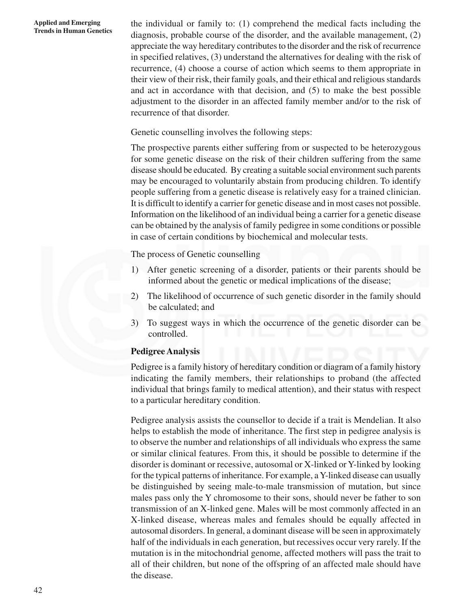#### **Applied and Emerging Trends in Human Genetics**

the individual or family to: (1) comprehend the medical facts including the diagnosis, probable course of the disorder, and the available management, (2) appreciate the way hereditary contributes to the disorder and the risk of recurrence in specified relatives, (3) understand the alternatives for dealing with the risk of recurrence, (4) choose a course of action which seems to them appropriate in their view of their risk, their family goals, and their ethical and religious standards and act in accordance with that decision, and (5) to make the best possible adjustment to the disorder in an affected family member and/or to the risk of recurrence of that disorder.

Genetic counselling involves the following steps:

The prospective parents either suffering from or suspected to be heterozygous for some genetic disease on the risk of their children suffering from the same disease should be educated. By creating a suitable social environment such parents may be encouraged to voluntarily abstain from producing children. To identify people suffering from a genetic disease is relatively easy for a trained clinician. It is difficult to identify a carrier for genetic disease and in most cases not possible. Information on the likelihood of an individual being a carrier for a genetic disease can be obtained by the analysis of family pedigree in some conditions or possible in case of certain conditions by biochemical and molecular tests.

The process of Genetic counselling

- 1) After genetic screening of a disorder, patients or their parents should be informed about the genetic or medical implications of the disease;
- 2) The likelihood of occurrence of such genetic disorder in the family should be calculated; and
- 3) To suggest ways in which the occurrence of the genetic disorder can be controlled.

### **Pedigree Analysis**

Pedigree is a family history of hereditary condition or diagram of a family history indicating the family members, their relationships to proband (the affected individual that brings family to medical attention), and their status with respect to a particular hereditary condition.

Pedigree analysis assists the counsellor to decide if a trait is Mendelian. It also helps to establish the mode of inheritance. The first step in pedigree analysis is to observe the number and relationships of all individuals who express the same or similar clinical features. From this, it should be possible to determine if the disorder is dominant or recessive, autosomal or X-linked or Y-linked by looking for the typical patterns of inheritance. For example, a Y-linked disease can usually be distinguished by seeing male-to-male transmission of mutation, but since males pass only the Y chromosome to their sons, should never be father to son transmission of an X-linked gene. Males will be most commonly affected in an X-linked disease, whereas males and females should be equally affected in autosomal disorders. In general, a dominant disease will be seen in approximately half of the individuals in each generation, but recessives occur very rarely. If the mutation is in the mitochondrial genome, affected mothers will pass the trait to all of their children, but none of the offspring of an affected male should have the disease.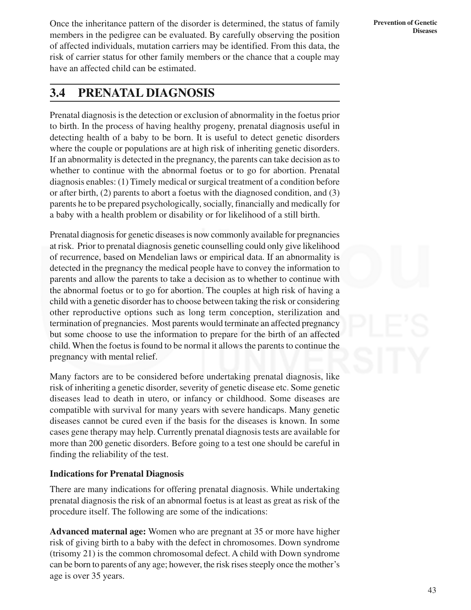**Prevention of Genetic Diseases**

Once the inheritance pattern of the disorder is determined, the status of family members in the pedigree can be evaluated. By carefully observing the position of affected individuals, mutation carriers may be identified. From this data, the risk of carrier status for other family members or the chance that a couple may have an affected child can be estimated.

### **3.4 PRENATAL DIAGNOSIS**

Prenatal diagnosis is the detection or exclusion of abnormality in the foetus prior to birth. In the process of having healthy progeny, prenatal diagnosis useful in detecting health of a baby to be born. It is useful to detect genetic disorders where the couple or populations are at high risk of inheriting genetic disorders. If an abnormality is detected in the pregnancy, the parents can take decision as to whether to continue with the abnormal foetus or to go for abortion. Prenatal diagnosis enables: (1) Timely medical or surgical treatment of a condition before or after birth, (2) parents to abort a foetus with the diagnosed condition, and (3) parents he to be prepared psychologically, socially, financially and medically for a baby with a health problem or disability or for likelihood of a still birth.

Prenatal diagnosis for genetic diseases is now commonly available for pregnancies at risk. Prior to prenatal diagnosis genetic counselling could only give likelihood of recurrence, based on Mendelian laws or empirical data. If an abnormality is detected in the pregnancy the medical people have to convey the information to parents and allow the parents to take a decision as to whether to continue with the abnormal foetus or to go for abortion. The couples at high risk of having a child with a genetic disorder has to choose between taking the risk or considering other reproductive options such as long term conception, sterilization and termination of pregnancies. Most parents would terminate an affected pregnancy but some choose to use the information to prepare for the birth of an affected child. When the foetus is found to be normal it allows the parents to continue the pregnancy with mental relief.

Many factors are to be considered before undertaking prenatal diagnosis, like risk of inheriting a genetic disorder, severity of genetic disease etc. Some genetic diseases lead to death in utero, or infancy or childhood. Some diseases are compatible with survival for many years with severe handicaps. Many genetic diseases cannot be cured even if the basis for the diseases is known. In some cases gene therapy may help. Currently prenatal diagnosis tests are available for more than 200 genetic disorders. Before going to a test one should be careful in finding the reliability of the test.

### **Indications for Prenatal Diagnosis**

There are many indications for offering prenatal diagnosis. While undertaking prenatal diagnosis the risk of an abnormal foetus is at least as great as risk of the procedure itself. The following are some of the indications:

**Advanced maternal age:** Women who are pregnant at 35 or more have higher risk of giving birth to a baby with the defect in chromosomes. Down syndrome (trisomy 21) is the common chromosomal defect. A child with Down syndrome can be born to parents of any age; however, the risk rises steeply once the mother's age is over 35 years.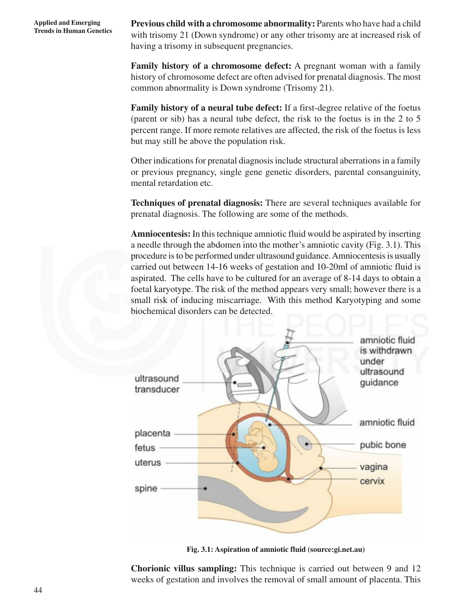**Previous child with a chromosome abnormality:** Parents who have had a child with trisomy 21 (Down syndrome) or any other trisomy are at increased risk of having a trisomy in subsequent pregnancies.

**Family history of a chromosome defect:** A pregnant woman with a family history of chromosome defect are often advised for prenatal diagnosis. The most common abnormality is Down syndrome (Trisomy 21).

**Family history of a neural tube defect:** If a first-degree relative of the foetus (parent or sib) has a neural tube defect, the risk to the foetus is in the 2 to 5 percent range. If more remote relatives are affected, the risk of the foetus is less but may still be above the population risk.

Other indications for prenatal diagnosis include structural aberrations in a family or previous pregnancy, single gene genetic disorders, parental consanguinity, mental retardation etc.

**Techniques of prenatal diagnosis:** There are several techniques available for prenatal diagnosis. The following are some of the methods.

**Amniocentesis:** In this technique amniotic fluid would be aspirated by inserting a needle through the abdomen into the mother's amniotic cavity (Fig. 3.1). This procedure is to be performed under ultrasound guidance. Amniocentesis is usually carried out between 14-16 weeks of gestation and 10-20ml of amniotic fluid is aspirated. The cells have to be cultured for an average of 8-14 days to obtain a foetal karyotype. The risk of the method appears very small; however there is a small risk of inducing miscarriage. With this method Karyotyping and some biochemical disorders can be detected.



**Fig. 3.1: Aspiration of amniotic fluid (source:gi.net.au)**

**Chorionic villus sampling:** This technique is carried out between 9 and 12 weeks of gestation and involves the removal of small amount of placenta. This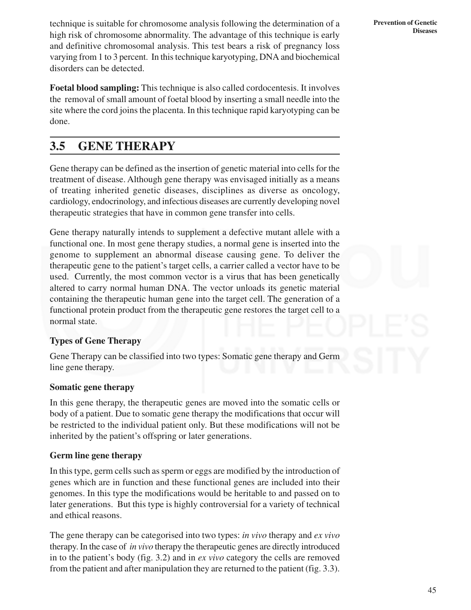technique is suitable for chromosome analysis following the determination of a high risk of chromosome abnormality. The advantage of this technique is early and definitive chromosomal analysis. This test bears a risk of pregnancy loss varying from 1 to 3 percent. In this technique karyotyping, DNA and biochemical disorders can be detected.

**Foetal blood sampling:** This technique is also called cordocentesis. It involves the removal of small amount of foetal blood by inserting a small needle into the site where the cord joins the placenta. In this technique rapid karyotyping can be done.

### **3.5 GENE THERAPY**

Gene therapy can be defined as the insertion of genetic material into cells for the treatment of disease. Although gene therapy was envisaged initially as a means of treating inherited genetic diseases, disciplines as diverse as oncology, cardiology, endocrinology, and infectious diseases are currently developing novel therapeutic strategies that have in common gene transfer into cells.

Gene therapy naturally intends to supplement a defective mutant allele with a functional one. In most gene therapy studies, a normal gene is inserted into the genome to supplement an abnormal disease causing gene. To deliver the therapeutic gene to the patient's target cells, a carrier called a vector have to be used. Currently, the most common vector is a virus that has been genetically altered to carry normal human DNA. The vector unloads its genetic material containing the therapeutic human gene into the target cell. The generation of a functional protein product from the therapeutic gene restores the target cell to a normal state.

### **Types of Gene Therapy**

Gene Therapy can be classified into two types: Somatic gene therapy and Germ line gene therapy.

### **Somatic gene therapy**

In this gene therapy, the therapeutic genes are moved into the somatic cells or body of a patient. Due to somatic gene therapy the modifications that occur will be restricted to the individual patient only. But these modifications will not be inherited by the patient's offspring or later generations.

### **Germ line gene therapy**

In this type, germ cells such as sperm or eggs are modified by the introduction of genes which are in function and these functional genes are included into their genomes. In this type the modifications would be heritable to and passed on to later generations. But this type is highly controversial for a variety of technical and ethical reasons.

The gene therapy can be categorised into two types: *in vivo* therapy and *ex vivo* therapy. In the case of *in vivo* therapy the therapeutic genes are directly introduced in to the patient's body (fig. 3.2) and in *ex vivo* category the cells are removed from the patient and after manipulation they are returned to the patient (fig. 3.3).

**Prevention of Genetic Diseases**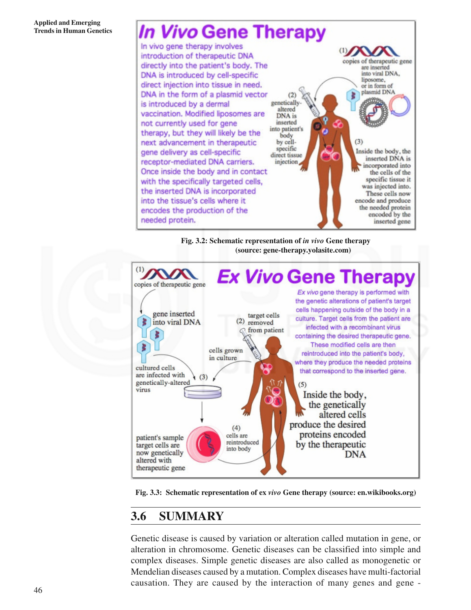# **In Vivo Gene Therapy**

In vivo gene therapy involves introduction of therapeutic DNA copies of therapeutic gene directly into the patient's body. The are inserted into viral DNA. DNA is introduced by cell-specific liposome. direct injection into tissue in need. or in form of plasmid DNA DNA in the form of a plasmid vector  $(2)$ geneticallyis introduced by a dermal altered vaccination. Modified liposomes are DNA is not currently used for gene inserted into patient's therapy, but they will likely be the body next advancement in therapeutic  $(3)$ by cellspecific Inside the body, the gene delivery as cell-specific direct tissue inserted DNA is receptor-mediated DNA carriers. injection incorporated into Once inside the body and in contact the cells of the specific tissue it with the specifically targeted cells, was injected into. the inserted DNA is incorporated These cells now into the tissue's cells where it encode and produce the needed protein encodes the production of the encoded by the needed protein. inserted gene





**Fig. 3.3: Schematic representation of ex** *vivo* **Gene therapy (source: en.wikibooks.org)**

### **3.6 SUMMARY**

Genetic disease is caused by variation or alteration called mutation in gene, or alteration in chromosome. Genetic diseases can be classified into simple and complex diseases. Simple genetic diseases are also called as monogenetic or Mendelian diseases caused by a mutation. Complex diseases have multi-factorial causation. They are caused by the interaction of many genes and gene -